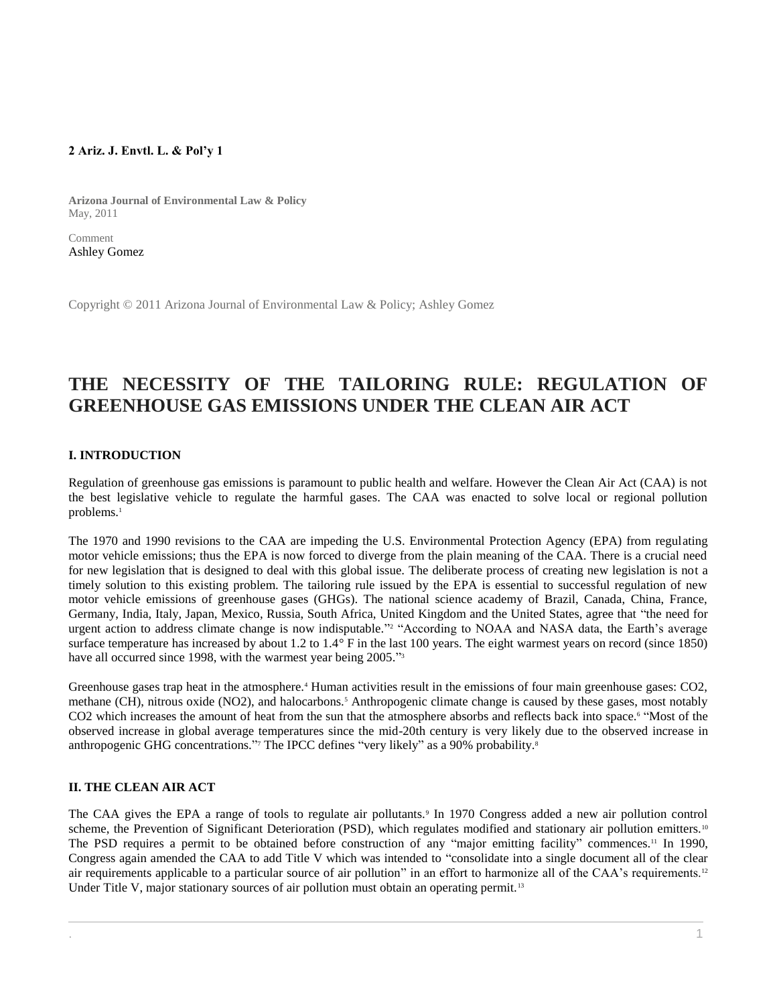# **2 Ariz. J. Envtl. L. & Pol'y 1**

**Arizona Journal of Environmental Law & Policy** May, 2011

Comment [Ashley Gomez](http://www.westlaw.com/Link/Document/FullText?findType=h&pubNum=176284&cite=0465695101&originatingDoc=I1ed640f28c6911e498db8b09b4f043e0&refType=RQ&originationContext=document&vr=3.0&rs=cblt1.0&transitionType=DocumentItem&contextData=(sc.Search))

Copyright © 2011 Arizona Journal of Environmental Law & Policy; Ashley Gomez

# **THE NECESSITY OF THE TAILORING RULE: REGULATION OF GREENHOUSE GAS EMISSIONS UNDER THE CLEAN AIR ACT**

# **I. INTRODUCTION**

Regulation of greenhouse gas emissions is paramount to public health and welfare. However the Clean Air Act (CAA) is not the best legislative vehicle to regulate the harmful gases. The CAA was enacted to solve local or regional pollution problems.<sup>1</sup>

The 1970 and 1990 revisions to the CAA are impeding the U.S. Environmental Protection Agency (EPA) from regulating motor vehicle emissions; thus the EPA is now forced to diverge from the plain meaning of the CAA. There is a crucial need for new legislation that is designed to deal with this global issue. The deliberate process of creating new legislation is not a timely solution to this existing problem. The tailoring rule issued by the EPA is essential to successful regulation of new motor vehicle emissions of greenhouse gases (GHGs). The national science academy of Brazil, Canada, China, France, Germany, India, Italy, Japan, Mexico, Russia, South Africa, United Kingdom and the United States, agree that "the need for urgent action to address climate change is now indisputable." <sup>2</sup> "According to NOAA and NASA data, the Earth's average surface temperature has increased by about 1.2 to 1.4° F in the last 100 years. The eight warmest years on record (since 1850) have all occurred since 1998, with the warmest year being 2005."<sup>3</sup>

Greenhouse gases trap heat in the atmosphere.<sup>4</sup> Human activities result in the emissions of four main greenhouse gases: CO2, methane (CH), nitrous oxide (NO2), and halocarbons.<sup>5</sup> Anthropogenic climate change is caused by these gases, most notably CO2 which increases the amount of heat from the sun that the atmosphere absorbs and reflects back into space.<sup>6</sup> "Most of the observed increase in global average temperatures since the mid-20th century is very likely due to the observed increase in anthropogenic GHG concentrations." The IPCC defines "very likely" as a 90% probability.<sup>8</sup>

# **II. THE CLEAN AIR ACT**

The CAA gives the EPA a range of tools to regulate air pollutants.<sup>9</sup> In 1970 Congress added a new air pollution control scheme, the Prevention of Significant Deterioration (PSD), which regulates modified and stationary air pollution emitters.<sup>10</sup> The PSD requires a permit to be obtained before construction of any "major emitting facility" commences.<sup>11</sup> In 1990, Congress again amended the CAA to add Title V which was intended to "consolidate into a single document all of the clear air requirements applicable to a particular source of air pollution" in an effort to harmonize all of the CAA's requirements.<sup>12</sup> Under Title V, major stationary sources of air pollution must obtain an operating permit.<sup>13</sup>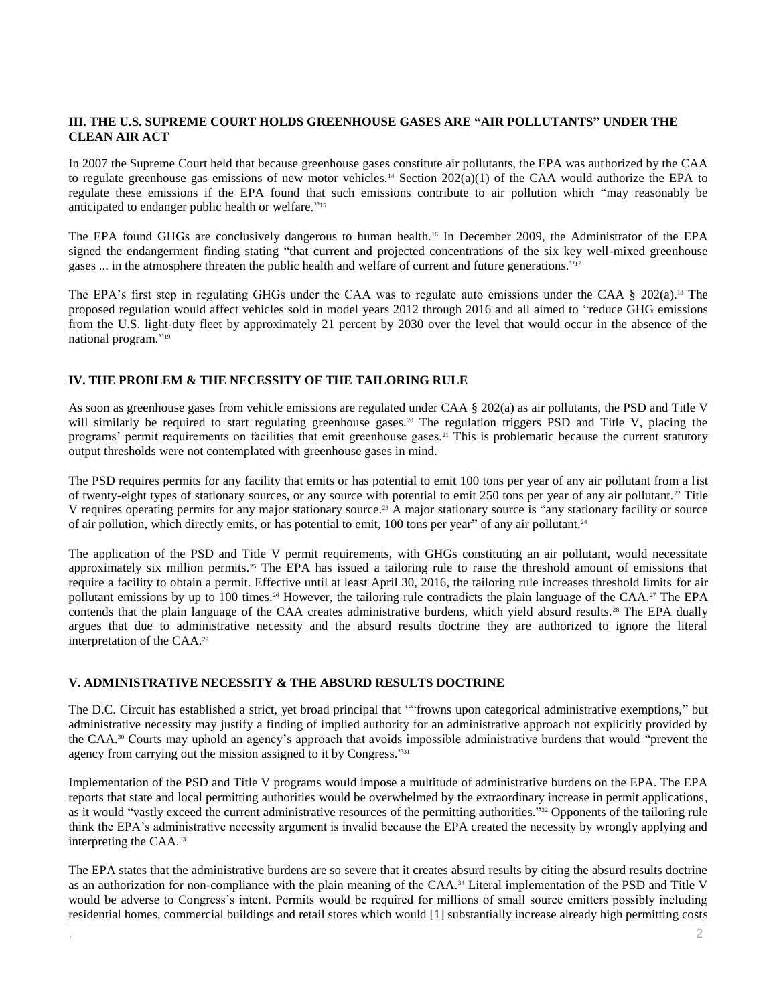# **III. THE U.S. SUPREME COURT HOLDS GREENHOUSE GASES ARE "AIR POLLUTANTS" UNDER THE CLEAN AIR ACT**

In 2007 the Supreme Court held that because greenhouse gases constitute air pollutants, the EPA was authorized by the CAA to regulate greenhouse gas emissions of new motor vehicles.<sup>14</sup> Section 202(a)(1) of the CAA would authorize the EPA to regulate these emissions if the EPA found that such emissions contribute to air pollution which "may reasonably be anticipated to endanger public health or welfare." 15

The EPA found GHGs are conclusively dangerous to human health.<sup>16</sup> In December 2009, the Administrator of the EPA signed the endangerment finding stating "that current and projected concentrations of the six key well-mixed greenhouse gases ... in the atmosphere threaten the public health and welfare of current and future generations."<sup>17</sup>

The EPA's first step in regulating GHGs under the CAA was to regulate auto emissions under the CAA § 202(a).<sup>18</sup> The proposed regulation would affect vehicles sold in model years 2012 through 2016 and all aimed to "reduce GHG emissions from the U.S. light-duty fleet by approximately 21 percent by 2030 over the level that would occur in the absence of the national program." 19

# **IV. THE PROBLEM & THE NECESSITY OF THE TAILORING RULE**

As soon as greenhouse gases from vehicle emissions are regulated under CAA § 202(a) as air pollutants, the PSD and Title V will similarly be required to start regulating greenhouse gases.<sup>20</sup> The regulation triggers PSD and Title V, placing the programs' permit requirements on facilities that emit greenhouse gases.<sup>21</sup> This is problematic because the current statutory output thresholds were not contemplated with greenhouse gases in mind.

The PSD requires permits for any facility that emits or has potential to emit 100 tons per year of any air pollutant from a list of twenty-eight types of stationary sources, or any source with potential to emit 250 tons per year of any air pollutant.<sup>22</sup> Title V requires operating permits for any major stationary source.<sup>23</sup> A major stationary source is "any stationary facility or source of air pollution, which directly emits, or has potential to emit, 100 tons per year" of any air pollutant.<sup>24</sup>

The application of the PSD and Title V permit requirements, with GHGs constituting an air pollutant, would necessitate approximately six million permits.<sup>25</sup> The EPA has issued a tailoring rule to raise the threshold amount of emissions that require a facility to obtain a permit. Effective until at least April 30, 2016, the tailoring rule increases threshold limits for air pollutant emissions by up to 100 times.<sup>26</sup> However, the tailoring rule contradicts the plain language of the CAA.<sup>27</sup> The EPA contends that the plain language of the CAA creates administrative burdens, which yield absurd results.<sup>28</sup> The EPA dually argues that due to administrative necessity and the absurd results doctrine they are authorized to ignore the literal interpretation of the CAA.<sup>29</sup>

# **V. ADMINISTRATIVE NECESSITY & THE ABSURD RESULTS DOCTRINE**

The D.C. Circuit has established a strict, yet broad principal that ""frowns upon categorical administrative exemptions," but administrative necessity may justify a finding of implied authority for an administrative approach not explicitly provided by the CAA.<sup>30</sup> Courts may uphold an agency's approach that avoids impossible administrative burdens that would "prevent the agency from carrying out the mission assigned to it by Congress."<sup>31</sup>

Implementation of the PSD and Title V programs would impose a multitude of administrative burdens on the EPA. The EPA reports that state and local permitting authorities would be overwhelmed by the extraordinary increase in permit applications, as it would "vastly exceed the current administrative resources of the permitting authorities."<sup>32</sup> Opponents of the tailoring rule think the EPA's administrative necessity argument is invalid because the EPA created the necessity by wrongly applying and interpreting the CAA.<sup>33</sup>

The EPA states that the administrative burdens are so severe that it creates absurd results by citing the absurd results doctrine as an authorization for non-compliance with the plain meaning of the CAA.<sup>34</sup> Literal implementation of the PSD and Title V would be adverse to Congress's intent. Permits would be required for millions of small source emitters possibly including residential homes, commercial buildings and retail stores which would [1] substantially increase already high permitting costs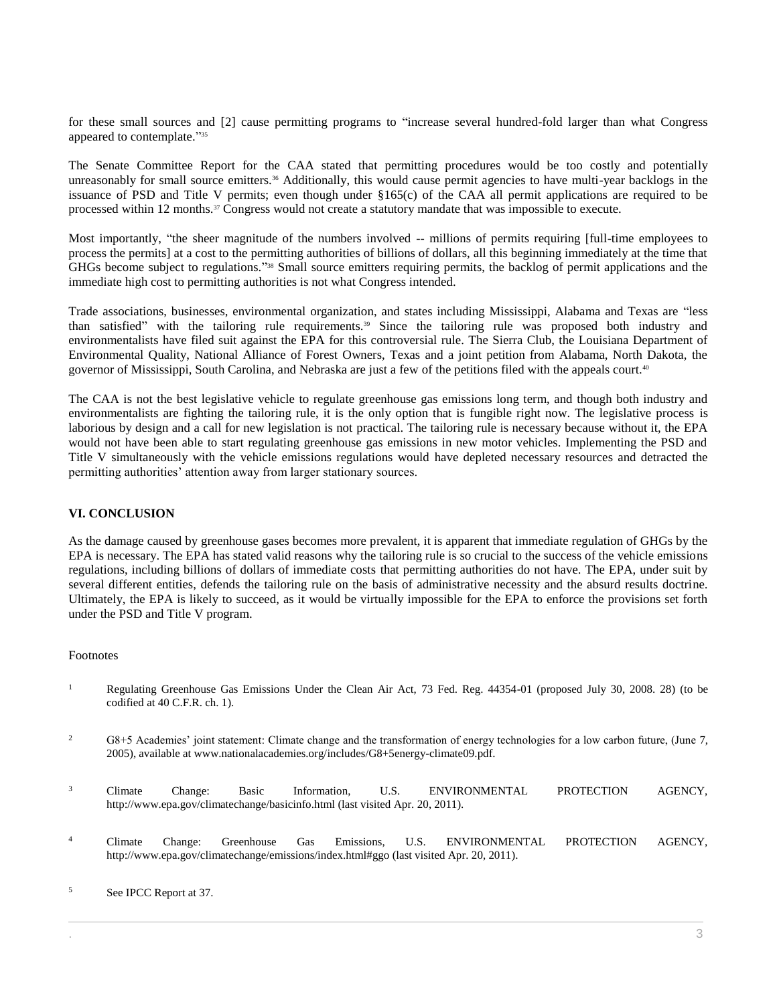for these small sources and [2] cause permitting programs to "increase several hundred-fold larger than what Congress appeared to contemplate." 35

The Senate Committee Report for the CAA stated that permitting procedures would be too costly and potentially unreasonably for small source emitters.<sup>36</sup> Additionally, this would cause permit agencies to have multi-year backlogs in the issuance of PSD and Title V permits; even though under §165(c) of the CAA all permit applications are required to be processed within 12 months.<sup>37</sup> Congress would not create a statutory mandate that was impossible to execute.

Most importantly, "the sheer magnitude of the numbers involved -- millions of permits requiring [full-time employees to process the permits] at a cost to the permitting authorities of billions of dollars, all this beginning immediately at the time that GHGs become subject to regulations."<sup>38</sup> Small source emitters requiring permits, the backlog of permit applications and the immediate high cost to permitting authorities is not what Congress intended.

Trade associations, businesses, environmental organization, and states including Mississippi, Alabama and Texas are "less than satisfied" with the tailoring rule requirements.<sup>39</sup> Since the tailoring rule was proposed both industry and environmentalists have filed suit against the EPA for this controversial rule. The Sierra Club, the Louisiana Department of Environmental Quality, National Alliance of Forest Owners, Texas and a joint petition from Alabama, North Dakota, the governor of Mississippi, South Carolina, and Nebraska are just a few of the petitions filed with the appeals court.<sup>40</sup>

The CAA is not the best legislative vehicle to regulate greenhouse gas emissions long term, and though both industry and environmentalists are fighting the tailoring rule, it is the only option that is fungible right now. The legislative process is laborious by design and a call for new legislation is not practical. The tailoring rule is necessary because without it, the EPA would not have been able to start regulating greenhouse gas emissions in new motor vehicles. Implementing the PSD and Title V simultaneously with the vehicle emissions regulations would have depleted necessary resources and detracted the permitting authorities' attention away from larger stationary sources.

# **VI. CONCLUSION**

As the damage caused by greenhouse gases becomes more prevalent, it is apparent that immediate regulation of GHGs by the EPA is necessary. The EPA has stated valid reasons why the tailoring rule is so crucial to the success of the vehicle emissions regulations, including billions of dollars of immediate costs that permitting authorities do not have. The EPA, under suit by several different entities, defends the tailoring rule on the basis of administrative necessity and the absurd results doctrine. Ultimately, the EPA is likely to succeed, as it would be virtually impossible for the EPA to enforce the provisions set forth under the PSD and Title V program.

# Footnotes

- <sup>1</sup> Regulating Greenhouse Gas Emissions Under the Clean Air Act, 73 Fed. Reg.  $44354-01$  (proposed July 30, 2008. 28) (to be codified at 40 C.F.R. ch. 1).
- <sup>2</sup> G8+5 Academies' joint statement: Climate change and the transformation of energy technologies for a low carbon future, (June 7, 2005), available at www.nationalacademies.org/includes/G8+5energy-climate09.pdf.
- <sup>3</sup> Climate Change: Basic Information, U.S. ENVIRONMENTAL PROTECTION AGENCY, http://www.epa.gov/climatechange/basicinfo.html (last visited Apr. 20, 2011).
- <sup>4</sup> Climate Change: Greenhouse Gas Emissions, U.S. ENVIRONMENTAL PROTECTION AGENCY, http://www.epa.gov/climatechange/emissions/index.html#ggo (last visited Apr. 20, 2011).

<sup>5</sup> See IPCC Report at 37.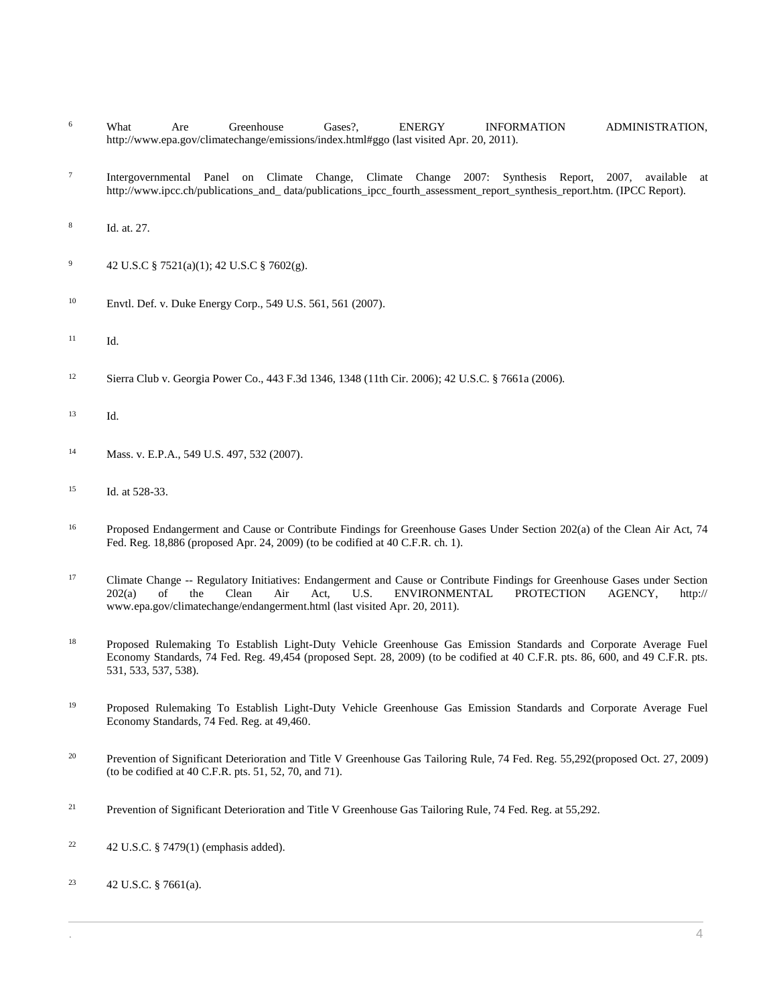- <sup>6</sup> What Are Greenhouse Gases?, ENERGY INFORMATION ADMINISTRATION, http://www.epa.gov/climatechange/emissions/index.html#ggo (last visited Apr. 20, 2011).
- 7 Intergovernmental Panel on Climate Change, Climate Change 2007: Synthesis Report, 2007, available at http://www.ipcc.ch/publications\_and\_data/publications\_ipcc\_fourth\_assessment\_report\_synthesis\_report.htm. (IPCC Report).
- 8 Id. at. 27.
- <sup>9</sup> [42 U.S.C § 7521\(a\)\(1\);](http://www.westlaw.com/Link/Document/FullText?findType=L&pubNum=1000546&cite=42USCAS7521&originatingDoc=I1ed640f28c6911e498db8b09b4f043e0&refType=RB&originationContext=document&vr=3.0&rs=cblt1.0&transitionType=DocumentItem&contextData=(sc.Search)#co_pp_7b9b000044381) [42 U.S.C § 7602\(g\).](http://www.westlaw.com/Link/Document/FullText?findType=L&pubNum=1000546&cite=42USCAS7602&originatingDoc=I1ed640f28c6911e498db8b09b4f043e0&refType=RB&originationContext=document&vr=3.0&rs=cblt1.0&transitionType=DocumentItem&contextData=(sc.Search)#co_pp_16f4000091d86)
- <sup>10</sup> Envtl. Def. v. [Duke Energy Corp., 549 U.S. 561, 561 \(2007\).](http://www.westlaw.com/Link/Document/FullText?findType=Y&serNum=2011843371&pubNum=0000780&originatingDoc=I1ed640f28c6911e498db8b09b4f043e0&refType=RP&originationContext=document&vr=3.0&rs=cblt1.0&transitionType=DocumentItem&contextData=(sc.Search))
- <sup>11</sup> Id.
- <sup>12</sup> [Sierra Club v. Georgia Power Co., 443 F.3d 1346, 1348 \(11th Cir. 2006\);](http://www.westlaw.com/Link/Document/FullText?findType=Y&serNum=2008797682&pubNum=0000506&originatingDoc=I1ed640f28c6911e498db8b09b4f043e0&refType=RP&fi=co_pp_sp_506_1348&originationContext=document&vr=3.0&rs=cblt1.0&transitionType=DocumentItem&contextData=(sc.Search)#co_pp_sp_506_1348) [42 U.S.C. § 7661a \(2006\).](http://www.westlaw.com/Link/Document/FullText?findType=L&pubNum=1000546&cite=42USCAS7661A&originatingDoc=I1ed640f28c6911e498db8b09b4f043e0&refType=LQ&originationContext=document&vr=3.0&rs=cblt1.0&transitionType=DocumentItem&contextData=(sc.Search))
- <sup>13</sup> Id.
- <sup>14</sup> Mass. v[. E.P.A., 549 U.S. 497, 532 \(2007\).](http://www.westlaw.com/Link/Document/FullText?findType=Y&serNum=2011843426&pubNum=0000780&originatingDoc=I1ed640f28c6911e498db8b09b4f043e0&refType=RP&fi=co_pp_sp_780_532&originationContext=document&vr=3.0&rs=cblt1.0&transitionType=DocumentItem&contextData=(sc.Search)#co_pp_sp_780_532)
- <sup>15</sup> [Id. at 528-33.](http://www.westlaw.com/Link/Document/FullText?findType=Y&serNum=2011843426&pubNum=0000780&originatingDoc=I1ed640f28c6911e498db8b09b4f043e0&refType=RP&fi=co_pp_sp_780_528&originationContext=document&vr=3.0&rs=cblt1.0&transitionType=DocumentItem&contextData=(sc.Search)#co_pp_sp_780_528)
- <sup>16</sup> Proposed Endangerment and Cause or Contribute Findings for Greenhouse Gases Under Section 202(a) of the Clean Air Act, 74 [Fed. Reg. 18,886 \(proposed Apr. 24, 2009\)](http://www.westlaw.com/Link/Document/FullText?findType=l&pubNum=0001037&cite=UUID(I22DC15C030BB11DEA0A8D3FA1835F327)&originatingDoc=I1ed640f28c6911e498db8b09b4f043e0&refType=CP&fi=co_pp_sp_1037_18886&originationContext=document&vr=3.0&rs=cblt1.0&transitionType=DocumentItem&contextData=(sc.Search)#co_pp_sp_1037_18886) (to be codified at 40 C.F.R. ch. 1).
- <sup>17</sup> Climate Change -- Regulatory Initiatives: Endangerment and Cause or Contribute Findings for Greenhouse Gases under Section 202(a) of the Clean Air Act. U.S. ENVIRONMENTAL PROTECTION AGENCY. http:// 202(a) of the Clean Air Act, U.S. ENVIRONMENTAL PROTECTION AGENCY, http:// www.epa.gov/climatechange/endangerment.html (last visited Apr. 20, 2011).
- <sup>18</sup> Proposed Rulemaking To Establish Light-Duty Vehicle Greenhouse Gas Emission Standards and Corporate Average Fuel [Economy Standards, 74 Fed. Reg. 49,454 \(proposed Sept. 28, 2009\)](http://www.westlaw.com/Link/Document/FullText?findType=l&pubNum=0001037&cite=UUID(IAFBCEC80AC0D11DE9618F662901073F4)&originatingDoc=I1ed640f28c6911e498db8b09b4f043e0&refType=CP&fi=co_pp_sp_1037_49454&originationContext=document&vr=3.0&rs=cblt1.0&transitionType=DocumentItem&contextData=(sc.Search)#co_pp_sp_1037_49454) (to be codified at 40 C.F.R. pts. 86, 600, and 49 C.F.R. pts. 531, 533, 537, 538).
- <sup>19</sup> Proposed Rulemaking To Establish Light-Duty Vehicle Greenhouse Gas Emission Standards and Corporate Average Fuel [Economy Standards, 74 Fed. Reg. at 49,460.](http://www.westlaw.com/Link/Document/FullText?findType=l&pubNum=0001037&cite=UUID(IAFBCEC80AC0D11DE9618F662901073F4)&originatingDoc=I1ed640f28c6911e498db8b09b4f043e0&refType=CP&fi=co_pp_sp_1037_49460&originationContext=document&vr=3.0&rs=cblt1.0&transitionType=DocumentItem&contextData=(sc.Search)#co_pp_sp_1037_49460)
- <sup>20</sup> [Prevention of Significant Deterioration and Title V Greenhouse Gas Tailoring Rule, 74 Fed. Reg. 55,292\(proposed Oct. 27, 2009\)](http://www.westlaw.com/Link/Document/FullText?findType=l&pubNum=0001037&cite=UUID(IE09B4020C2DF11DE9B44913E3E36157B)&originatingDoc=I1ed640f28c6911e498db8b09b4f043e0&refType=CP&fi=co_pp_sp_1037_55292&originationContext=document&vr=3.0&rs=cblt1.0&transitionType=DocumentItem&contextData=(sc.Search)#co_pp_sp_1037_55292) (to be codified at 40 C.F.R. pts. 51, 52, 70, and 71).
- <sup>21</sup> [Prevention of Significant Deterioration and Title V Greenhouse Gas Tailoring Rule,](http://www.westlaw.com/Link/Document/FullText?findType=l&pubNum=0001037&cite=UUID(IE09B4020C2DF11DE9B44913E3E36157B)&originatingDoc=I1ed640f28c6911e498db8b09b4f043e0&refType=CP&fi=co_pp_sp_1037_55292&originationContext=document&vr=3.0&rs=cblt1.0&transitionType=DocumentItem&contextData=(sc.Search)#co_pp_sp_1037_55292) 74 Fed. Reg. at 55,292.
- <sup>22</sup> [42 U.S.C. § 7479\(1\)](http://www.westlaw.com/Link/Document/FullText?findType=L&pubNum=1000546&cite=42USCAS7479&originatingDoc=I1ed640f28c6911e498db8b09b4f043e0&refType=RB&originationContext=document&vr=3.0&rs=cblt1.0&transitionType=DocumentItem&contextData=(sc.Search)#co_pp_f1c50000821b0) (emphasis added).
- <sup>23</sup> [42 U.S.C. § 7661\(a\).](http://www.westlaw.com/Link/Document/FullText?findType=L&pubNum=1000546&cite=42USCAS7661&originatingDoc=I1ed640f28c6911e498db8b09b4f043e0&refType=LQ&originationContext=document&vr=3.0&rs=cblt1.0&transitionType=DocumentItem&contextData=(sc.Search))